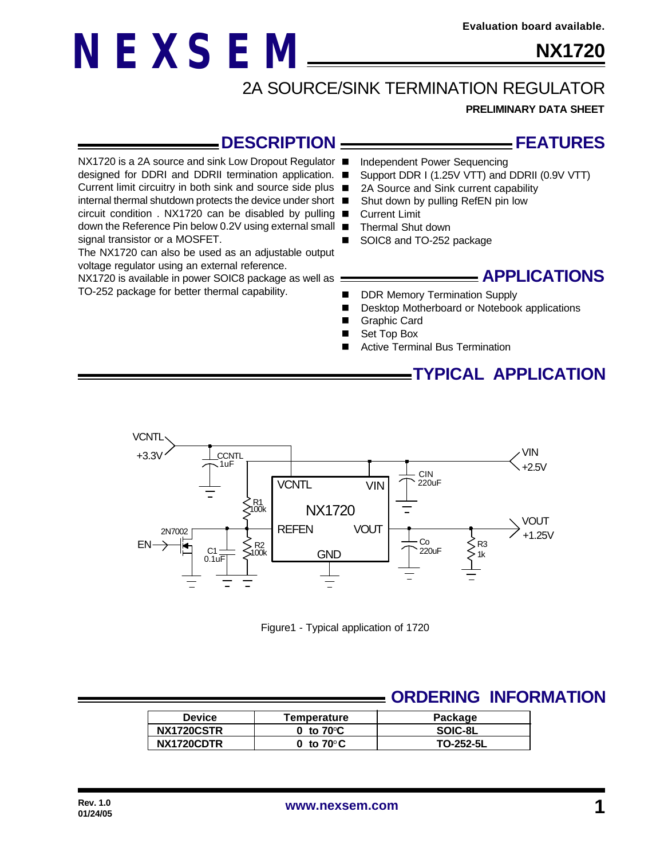# **NX1720**

## 2A SOURCE/SINK TERMINATION REGULATOR

**PRELIMINARY DATA SHEET**

#### **DESCRIPTION**

NX1720 is a 2A source and sink Low Dropout Regulator ■

**NEXSEM**

designed for DDRI and DDRII termination application. ■ Current limit circuitry in both sink and source side plus ■

internal thermal shutdown protects the device under short circuit condition . NX1720 can be disabled by pulling  $\blacksquare$ down the Reference Pin below 0.2V using external small signal transistor or a MOSFET.

The NX1720 can also be used as an adjustable output voltage regulator using an external reference.

NX1720 is available in power SOIC8 package as well as : TO-252 package for better thermal capability.

#### **FEATURES**

- Independent Power Sequencing
- Support DDR I (1.25V VTT) and DDRII (0.9V VTT)
- 2A Source and Sink current capability
- Shut down by pulling RefEN pin low
- **Current Limit**
- Thermal Shut down
- SOIC8 and TO-252 package

#### **APPLICATIONS**

- DDR Memory Termination Supply
- Desktop Motherboard or Notebook applications
- Graphic Card
- Set Top Box
- Active Terminal Bus Termination

## **TYPICAL APPLICATION**



Figure1 - Typical application of 1720

## **ORDERING INFORMATION**

| <b>Device</b> | Temperature         | Package   |  |  |
|---------------|---------------------|-----------|--|--|
| NX1720CSTR    | 0 to $70^{\circ}$ C | SOIC-8L   |  |  |
| NX1720CDTR    | 0 to $70^{\circ}$ C | TO-252-5L |  |  |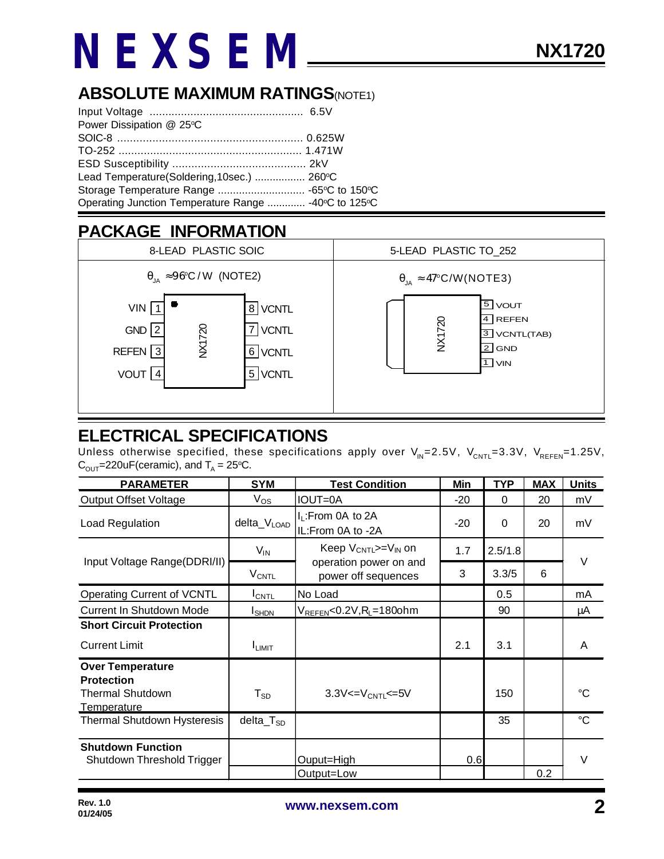# **NEXSEM**

## **ABSOLUTE MAXIMUM RATINGS(NOTE1)**

| Power Dissipation @ 25°C                             |  |
|------------------------------------------------------|--|
|                                                      |  |
|                                                      |  |
|                                                      |  |
| Lead Temperature(Soldering, 10sec.)  260°C           |  |
|                                                      |  |
| Operating Junction Temperature Range  -40°C to 125°C |  |

## **PACKAGE INFORMATION**



### **ELECTRICAL SPECIFICATIONS**

Unless otherwise specified, these specifications apply over  $V_{\text{IN}}=2.5V$ ,  $V_{\text{CNTL}}=3.3V$ ,  $V_{\text{REFEN}}=1.25V$ ,  $\text{C}_{\text{OUT}}$ =220uF(ceramic), and  $\text{T}_{\text{A}}$  = 25°C.

| <b>PARAMETER</b>                                                                       | <b>SYM</b>                 | <b>Test Condition</b>                                                       | Min   | <b>TYP</b> | <b>MAX</b> | <b>Units</b>    |
|----------------------------------------------------------------------------------------|----------------------------|-----------------------------------------------------------------------------|-------|------------|------------|-----------------|
| <b>Output Offset Voltage</b>                                                           | $V_{OS}$                   | <b>IOUT=0A</b>                                                              | $-20$ | $\Omega$   | 20         | mV              |
| Load Regulation                                                                        | delta_VLOAD                | $I_L$ : From 0A to 2A<br>IL:From 0A to -2A                                  | $-20$ | 0          | 20         | mV              |
| Input Voltage Range(DDRI/II)                                                           | $V_{IN}$                   | Keep $V_{CNTL}>=V_{IN}$ on<br>operation power on and<br>power off sequences | 1.7   | 2.5/1.8    |            | $\vee$          |
|                                                                                        | <b>V<sub>CNTL</sub></b>    |                                                                             | 3     | 3.3/5      | 6          |                 |
| Operating Current of VCNTL                                                             | $I_{\text{CNTL}}$          | No Load                                                                     |       | 0.5        |            | mA              |
| <b>Current In Shutdown Mode</b>                                                        | <b>I</b> SHDN              | $V_{REFEN}< 0.2V, R_L=180$ ohm                                              |       | 90         |            | μA              |
| <b>Short Circuit Protection</b>                                                        |                            |                                                                             |       |            |            |                 |
| <b>Current Limit</b>                                                                   | <b>I</b> LIMIT             |                                                                             | 2.1   | 3.1        |            | A               |
| <b>Over Temperature</b><br><b>Protection</b><br><b>Thermal Shutdown</b><br>Temperature | $\mathsf{T}_{\mathsf{SD}}$ | $3.3V < = V_{\text{CNTL}} < = 5V$                                           |       | 150        |            | °C.             |
| <b>Thermal Shutdown Hysteresis</b>                                                     | $delta_T_{SD}$             |                                                                             |       | 35         |            | $\rm ^{\circ}C$ |
| <b>Shutdown Function</b><br>Shutdown Threshold Trigger                                 |                            | Ouput=High<br>Output=Low                                                    | 0.6   |            | 0.2        | $\vee$          |